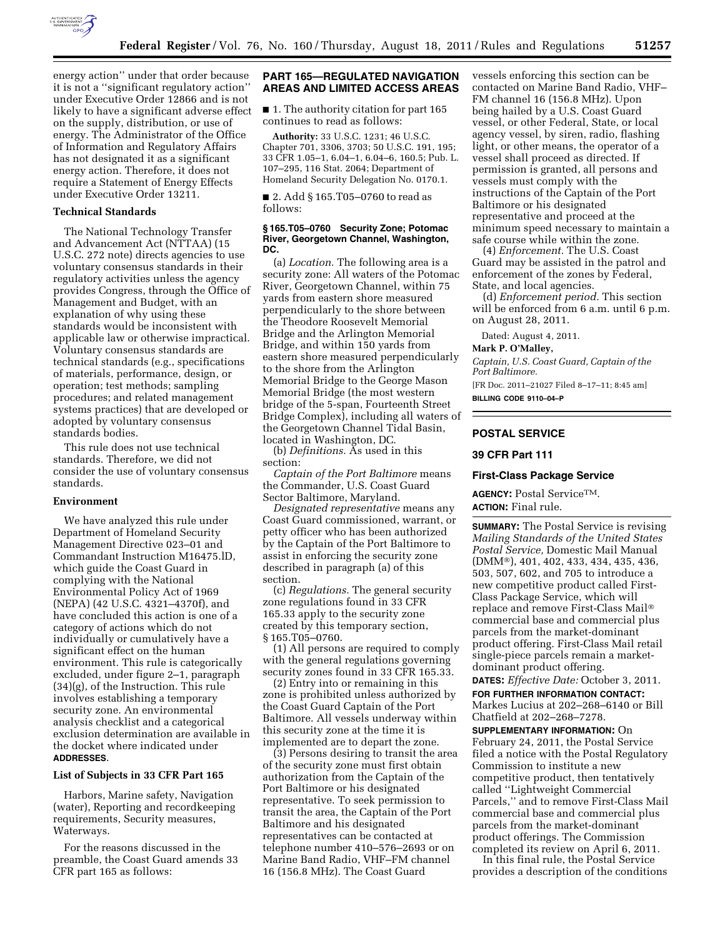

energy action'' under that order because it is not a ''significant regulatory action'' under Executive Order 12866 and is not likely to have a significant adverse effect on the supply, distribution, or use of energy. The Administrator of the Office of Information and Regulatory Affairs has not designated it as a significant energy action. Therefore, it does not require a Statement of Energy Effects under Executive Order 13211.

#### **Technical Standards**

The National Technology Transfer and Advancement Act (NTTAA) (15 U.S.C. 272 note) directs agencies to use voluntary consensus standards in their regulatory activities unless the agency provides Congress, through the Office of Management and Budget, with an explanation of why using these standards would be inconsistent with applicable law or otherwise impractical. Voluntary consensus standards are technical standards (e.g., specifications of materials, performance, design, or operation; test methods; sampling procedures; and related management systems practices) that are developed or adopted by voluntary consensus standards bodies.

This rule does not use technical standards. Therefore, we did not consider the use of voluntary consensus standards.

## **Environment**

We have analyzed this rule under Department of Homeland Security Management Directive 023–01 and Commandant Instruction M16475.lD, which guide the Coast Guard in complying with the National Environmental Policy Act of 1969 (NEPA) (42 U.S.C. 4321–4370f), and have concluded this action is one of a category of actions which do not individually or cumulatively have a significant effect on the human environment. This rule is categorically excluded, under figure 2–1, paragraph (34)(g), of the Instruction. This rule involves establishing a temporary security zone. An environmental analysis checklist and a categorical exclusion determination are available in the docket where indicated under **ADDRESSES**.

#### **List of Subjects in 33 CFR Part 165**

Harbors, Marine safety, Navigation (water), Reporting and recordkeeping requirements, Security measures, Waterways.

For the reasons discussed in the preamble, the Coast Guard amends 33 CFR part 165 as follows:

### **PART 165—REGULATED NAVIGATION AREAS AND LIMITED ACCESS AREAS**

■ 1. The authority citation for part 165 continues to read as follows:

**Authority:** 33 U.S.C. 1231; 46 U.S.C. Chapter 701, 3306, 3703; 50 U.S.C. 191, 195; 33 CFR 1.05–1, 6.04–1, 6.04–6, 160.5; Pub. L. 107–295, 116 Stat. 2064; Department of Homeland Security Delegation No. 0170.1.

■ 2. Add § 165.T05-0760 to read as follows:

#### **§ 165.T05–0760 Security Zone; Potomac River, Georgetown Channel, Washington, DC.**

(a) *Location.* The following area is a security zone: All waters of the Potomac River, Georgetown Channel, within 75 yards from eastern shore measured perpendicularly to the shore between the Theodore Roosevelt Memorial Bridge and the Arlington Memorial Bridge, and within 150 yards from eastern shore measured perpendicularly to the shore from the Arlington Memorial Bridge to the George Mason Memorial Bridge (the most western bridge of the 5-span, Fourteenth Street Bridge Complex), including all waters of the Georgetown Channel Tidal Basin, located in Washington, DC.

(b) *Definitions.* As used in this section:

*Captain of the Port Baltimore* means the Commander, U.S. Coast Guard Sector Baltimore, Maryland.

*Designated representative* means any Coast Guard commissioned, warrant, or petty officer who has been authorized by the Captain of the Port Baltimore to assist in enforcing the security zone described in paragraph (a) of this section.

(c) *Regulations.* The general security zone regulations found in 33 CFR 165.33 apply to the security zone created by this temporary section, § 165.T05–0760.

(1) All persons are required to comply with the general regulations governing security zones found in 33 CFR 165.33.

(2) Entry into or remaining in this zone is prohibited unless authorized by the Coast Guard Captain of the Port Baltimore. All vessels underway within this security zone at the time it is implemented are to depart the zone.

(3) Persons desiring to transit the area of the security zone must first obtain authorization from the Captain of the Port Baltimore or his designated representative. To seek permission to transit the area, the Captain of the Port Baltimore and his designated representatives can be contacted at telephone number 410–576–2693 or on Marine Band Radio, VHF–FM channel 16 (156.8 MHz). The Coast Guard

vessels enforcing this section can be contacted on Marine Band Radio, VHF– FM channel 16 (156.8 MHz). Upon being hailed by a U.S. Coast Guard vessel, or other Federal, State, or local agency vessel, by siren, radio, flashing light, or other means, the operator of a vessel shall proceed as directed. If permission is granted, all persons and vessels must comply with the instructions of the Captain of the Port Baltimore or his designated representative and proceed at the minimum speed necessary to maintain a safe course while within the zone.

(4) *Enforcement.* The U.S. Coast Guard may be assisted in the patrol and enforcement of the zones by Federal, State, and local agencies.

(d) *Enforcement period.* This section will be enforced from 6 a.m. until 6 p.m. on August 28, 2011.

Dated: August 4, 2011.

#### **Mark P. O'Malley,**

*Captain, U.S. Coast Guard, Captain of the Port Baltimore.* 

[FR Doc. 2011–21027 Filed 8–17–11; 8:45 am] **BILLING CODE 9110–04–P** 

## **POSTAL SERVICE**

## **39 CFR Part 111**

## **First-Class Package Service**

**AGENCY:** Postal ServiceTM. **ACTION:** Final rule.

**SUMMARY:** The Postal Service is revising *Mailing Standards of the United States Postal Service,* Domestic Mail Manual (DMM®), 401, 402, 433, 434, 435, 436, 503, 507, 602, and 705 to introduce a new competitive product called First-Class Package Service, which will replace and remove First-Class Mail® commercial base and commercial plus parcels from the market-dominant product offering. First-Class Mail retail single-piece parcels remain a marketdominant product offering.

**DATES:** *Effective Date:* October 3, 2011. **FOR FURTHER INFORMATION CONTACT:**  Markes Lucius at 202–268–6140 or Bill Chatfield at 202–268–7278.

**SUPPLEMENTARY INFORMATION:** On February 24, 2011, the Postal Service filed a notice with the Postal Regulatory Commission to institute a new competitive product, then tentatively called ''Lightweight Commercial Parcels,'' and to remove First-Class Mail commercial base and commercial plus parcels from the market-dominant product offerings. The Commission completed its review on April 6, 2011.

In this final rule, the Postal Service provides a description of the conditions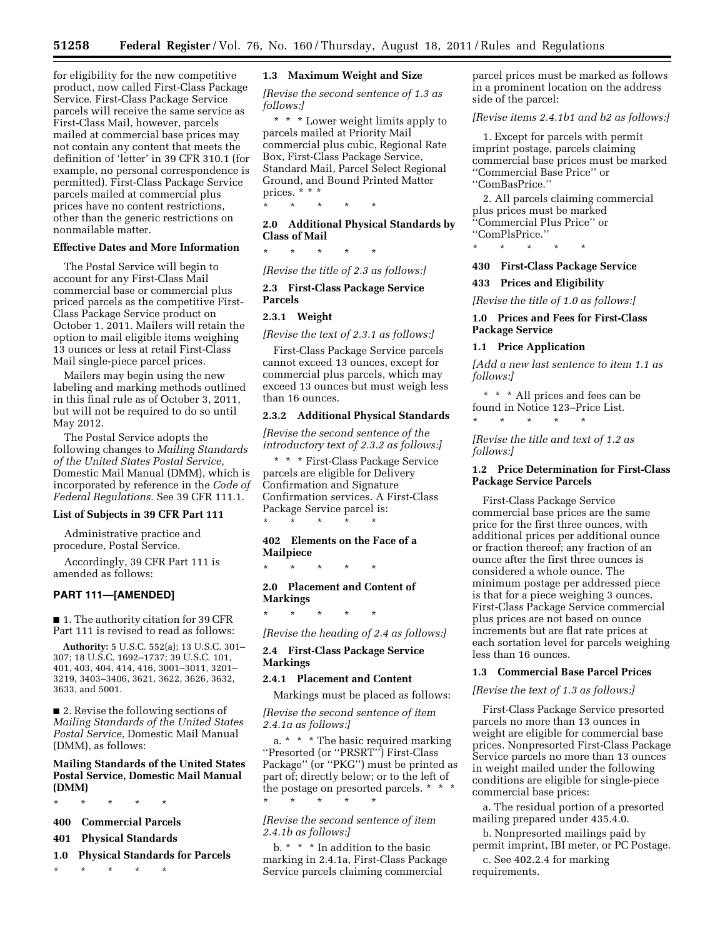for eligibility for the new competitive product, now called First-Class Package Service. First-Class Package Service parcels will receive the same service as First-Class Mail, however, parcels mailed at commercial base prices may not contain any content that meets the definition of 'letter' in 39 CFR 310.1 (for example, no personal correspondence is permitted). First-Class Package Service parcels mailed at commercial plus prices have no content restrictions, other than the generic restrictions on nonmailable matter.

## **Effective Dates and More Information**

The Postal Service will begin to account for any First-Class Mail commercial base or commercial plus priced parcels as the competitive First-Class Package Service product on October 1, 2011. Mailers will retain the option to mail eligible items weighing 13 ounces or less at retail First-Class Mail single-piece parcel prices.

Mailers may begin using the new labeling and marking methods outlined in this final rule as of October 3, 2011, but will not be required to do so until May 2012.

The Postal Service adopts the following changes to *Mailing Standards of the United States Postal Service,*  Domestic Mail Manual (DMM), which is incorporated by reference in the *Code of Federal Regulations.* See 39 CFR 111.1.

## **List of Subjects in 39 CFR Part 111**

Administrative practice and procedure, Postal Service.

Accordingly, 39 CFR Part 111 is amended as follows:

#### **PART 111—[AMENDED]**

■ 1. The authority citation for 39 CFR Part 111 is revised to read as follows:

**Authority:** 5 U.S.C. 552(a); 13 U.S.C. 301– 307; 18 U.S.C. 1692–1737; 39 U.S.C. 101, 401, 403, 404, 414, 416, 3001–3011, 3201– 3219, 3403–3406, 3621, 3622, 3626, 3632, 3633, and 5001.

■ 2. Revise the following sections of *Mailing Standards of the United States Postal Service,* Domestic Mail Manual (DMM), as follows:

## **Mailing Standards of the United States Postal Service, Domestic Mail Manual (DMM)**

\* \* \* \* \*

- **400 Commercial Parcels**
- **401 Physical Standards**
- **1.0 Physical Standards for Parcels**

\* \* \* \* \*

### **1.3 Maximum Weight and Size**

*[Revise the second sentence of 1.3 as follows:]* 

\* \* \* Lower weight limits apply to parcels mailed at Priority Mail commercial plus cubic, Regional Rate Box, First-Class Package Service, Standard Mail, Parcel Select Regional Ground, and Bound Printed Matter prices. \* \* \*

**2.0 Additional Physical Standards by Class of Mail** 

\* \* \* \* \*

\* \* \* \* \*

*[Revise the title of 2.3 as follows:]* 

**2.3 First-Class Package Service Parcels** 

## **2.3.1 Weight**

*[Revise the text of 2.3.1 as follows:]* 

First-Class Package Service parcels cannot exceed 13 ounces, except for commercial plus parcels, which may exceed 13 ounces but must weigh less than 16 ounces.

## **2.3.2 Additional Physical Standards**

*[Revise the second sentence of the introductory text of 2.3.2 as follows:]* 

\* \* \* First-Class Package Service parcels are eligible for Delivery Confirmation and Signature Confirmation services. A First-Class Package Service parcel is: \* \* \* \* \*

## **402 Elements on the Face of a Mailpiece**

\* \* \* \* \*

\* \* \* \* \*

## **2.0 Placement and Content of Markings**

*[Revise the heading of 2.4 as follows:]* 

### **2.4 First-Class Package Service Markings**

#### **2.4.1 Placement and Content**

Markings must be placed as follows:

*[Revise the second sentence of item 2.4.1a as follows:]* 

a. \* \* \* The basic required marking ''Presorted (or ''PRSRT'') First-Class Package'' (or ''PKG'') must be printed as part of; directly below; or to the left of the postage on presorted parcels. \* \* \* \* \* \* \* \*

*[Revise the second sentence of item 2.4.1b as follows:]* 

b. \* \* \* In addition to the basic marking in 2.4.1a, First-Class Package Service parcels claiming commercial

parcel prices must be marked as follows in a prominent location on the address side of the parcel:

*[Revise items 2.4.1b1 and b2 as follows:]* 

1. Except for parcels with permit imprint postage, parcels claiming commercial base prices must be marked ''Commercial Base Price'' or ''ComBasPrice.''

2. All parcels claiming commercial plus prices must be marked ''Commercial Plus Price'' or ''ComPlsPrice.''

\* \* \* \* \*

## **430 First-Class Package Service**

### **433 Prices and Eligibility**

*[Revise the title of 1.0 as follows:]* 

## **1.0 Prices and Fees for First-Class Package Service**

## **1.1 Price Application**

*[Add a new last sentence to item 1.1 as follows:]* 

\* \* \* All prices and fees can be found in Notice 123–Price List. \* \* \* \* \*

*[Revise the title and text of 1.2 as follows:]* 

## **1.2 Price Determination for First-Class Package Service Parcels**

First-Class Package Service commercial base prices are the same price for the first three ounces, with additional prices per additional ounce or fraction thereof; any fraction of an ounce after the first three ounces is considered a whole ounce. The minimum postage per addressed piece is that for a piece weighing 3 ounces. First-Class Package Service commercial plus prices are not based on ounce increments but are flat rate prices at each sortation level for parcels weighing less than 16 ounces.

#### **1.3 Commercial Base Parcel Prices**

#### *[Revise the text of 1.3 as follows:]*

First-Class Package Service presorted parcels no more than 13 ounces in weight are eligible for commercial base prices. Nonpresorted First-Class Package Service parcels no more than 13 ounces in weight mailed under the following conditions are eligible for single-piece commercial base prices:

a. The residual portion of a presorted mailing prepared under 435.4.0.

b. Nonpresorted mailings paid by permit imprint, IBI meter, or PC Postage.

c. See 402.2.4 for marking requirements.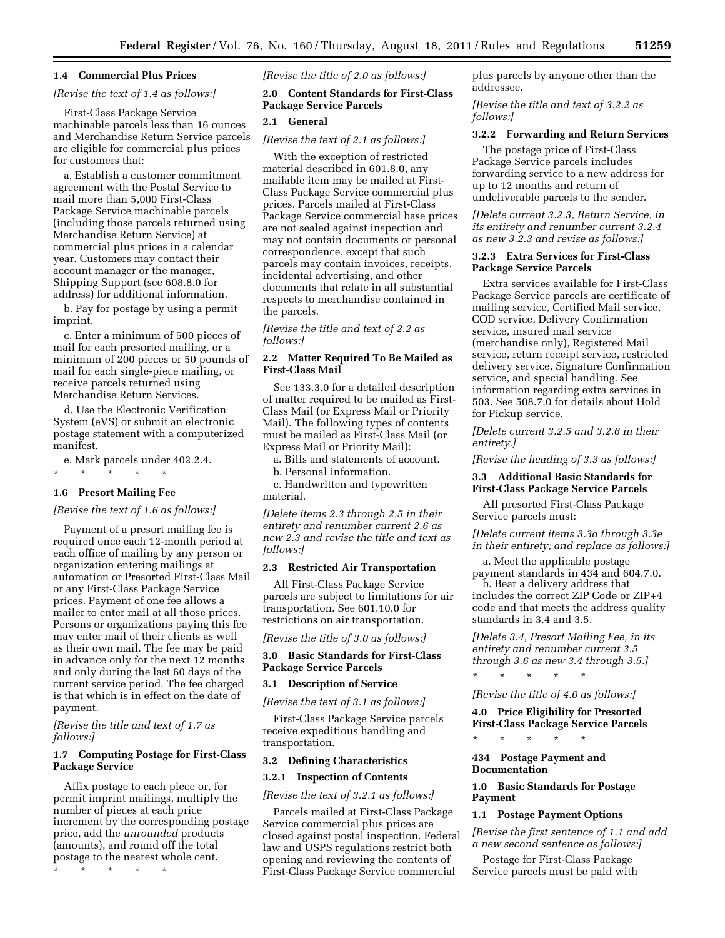## **1.4 Commercial Plus Prices**

## *[Revise the text of 1.4 as follows:]*

First-Class Package Service machinable parcels less than 16 ounces and Merchandise Return Service parcels are eligible for commercial plus prices for customers that:

a. Establish a customer commitment agreement with the Postal Service to mail more than 5,000 First-Class Package Service machinable parcels (including those parcels returned using Merchandise Return Service) at commercial plus prices in a calendar year. Customers may contact their account manager or the manager, Shipping Support (see 608.8.0 for address) for additional information.

b. Pay for postage by using a permit imprint.

c. Enter a minimum of 500 pieces of mail for each presorted mailing, or a minimum of 200 pieces or 50 pounds of mail for each single-piece mailing, or receive parcels returned using Merchandise Return Services.

d. Use the Electronic Verification System (eVS) or submit an electronic postage statement with a computerized manifest.

e. Mark parcels under 402.2.4.

\* \* \* \* \*

## **1.6 Presort Mailing Fee**

### *[Revise the text of 1.6 as follows:]*

Payment of a presort mailing fee is required once each 12-month period at each office of mailing by any person or organization entering mailings at automation or Presorted First-Class Mail or any First-Class Package Service prices. Payment of one fee allows a mailer to enter mail at all those prices. Persons or organizations paying this fee may enter mail of their clients as well as their own mail. The fee may be paid in advance only for the next 12 months and only during the last 60 days of the current service period. The fee charged is that which is in effect on the date of payment.

*[Revise the title and text of 1.7 as follows:]* 

## **1.7 Computing Postage for First-Class Package Service**

Affix postage to each piece or, for permit imprint mailings, multiply the number of pieces at each price increment by the corresponding postage price, add the *unrounded* products (amounts), and round off the total postage to the nearest whole cent.

\* \* \* \* \*

*[Revise the title of 2.0 as follows:]* 

## **2.0 Content Standards for First-Class Package Service Parcels**

## **2.1 General**

*[Revise the text of 2.1 as follows:]* 

With the exception of restricted material described in 601.8.0, any mailable item may be mailed at First-Class Package Service commercial plus prices. Parcels mailed at First-Class Package Service commercial base prices are not sealed against inspection and may not contain documents or personal correspondence, except that such parcels may contain invoices, receipts, incidental advertising, and other documents that relate in all substantial respects to merchandise contained in the parcels.

*[Revise the title and text of 2.2 as follows:]* 

## **2.2 Matter Required To Be Mailed as First-Class Mail**

See 133.3.0 for a detailed description of matter required to be mailed as First-Class Mail (or Express Mail or Priority Mail). The following types of contents must be mailed as First-Class Mail (or Express Mail or Priority Mail):

a. Bills and statements of account.

b. Personal information.

c. Handwritten and typewritten material.

*[Delete items 2.3 through 2.5 in their entirety and renumber current 2.6 as new 2.3 and revise the title and text as follows:]* 

## **2.3 Restricted Air Transportation**

All First-Class Package Service parcels are subject to limitations for air transportation. See 601.10.0 for restrictions on air transportation.

*[Revise the title of 3.0 as follows:]* 

## **3.0 Basic Standards for First-Class Package Service Parcels**

## **3.1 Description of Service**

*[Revise the text of 3.1 as follows:]* 

First-Class Package Service parcels receive expeditious handling and transportation.

#### **3.2 Defining Characteristics**

## **3.2.1 Inspection of Contents**

*[Revise the text of 3.2.1 as follows:]* 

Parcels mailed at First-Class Package Service commercial plus prices are closed against postal inspection. Federal law and USPS regulations restrict both opening and reviewing the contents of First-Class Package Service commercial

plus parcels by anyone other than the addressee.

*[Revise the title and text of 3.2.2 as follows:]* 

## **3.2.2 Forwarding and Return Services**

The postage price of First-Class Package Service parcels includes forwarding service to a new address for up to 12 months and return of undeliverable parcels to the sender.

*[Delete current 3.2.3, Return Service, in its entirety and renumber current 3.2.4 as new 3.2.3 and revise as follows:]* 

## **3.2.3 Extra Services for First-Class Package Service Parcels**

Extra services available for First-Class Package Service parcels are certificate of mailing service, Certified Mail service, COD service, Delivery Confirmation service, insured mail service (merchandise only), Registered Mail service, return receipt service, restricted delivery service, Signature Confirmation service, and special handling. See information regarding extra services in 503. See 508.7.0 for details about Hold for Pickup service.

*[Delete current 3.2.5 and 3.2.6 in their entirety.]* 

*[Revise the heading of 3.3 as follows:]* 

## **3.3 Additional Basic Standards for First-Class Package Service Parcels**

All presorted First-Class Package Service parcels must:

*[Delete current items 3.3a through 3.3e in their entirety; and replace as follows:]* 

a. Meet the applicable postage payment standards in 434 and 604.7.0.

b. Bear a delivery address that includes the correct ZIP Code or ZIP+4 code and that meets the address quality standards in 3.4 and 3.5.

*[Delete 3.4, Presort Mailing Fee, in its entirety and renumber current 3.5 through 3.6 as new 3.4 through 3.5.]* 

\* \* \* \* \*

#### *[Revise the title of 4.0 as follows:]*

**4.0 Price Eligibility for Presorted First-Class Package Service Parcels** 

\* \* \* \* \*

## **434 Postage Payment and Documentation**

**1.0 Basic Standards for Postage Payment** 

#### **1.1 Postage Payment Options**

*[Revise the first sentence of 1.1 and add a new second sentence as follows:]* 

Postage for First-Class Package Service parcels must be paid with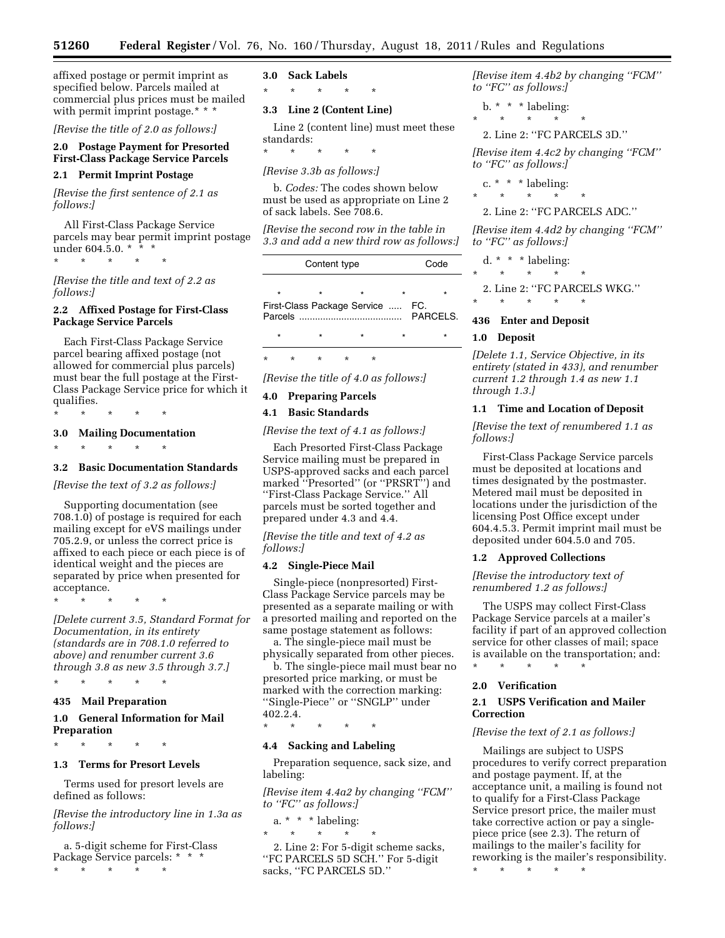affixed postage or permit imprint as specified below. Parcels mailed at commercial plus prices must be mailed with permit imprint postage.\* \* \*

*[Revise the title of 2.0 as follows:]* 

## **2.0 Postage Payment for Presorted First-Class Package Service Parcels**

## **2.1 Permit Imprint Postage**

*[Revise the first sentence of 2.1 as follows:]* 

All First-Class Package Service parcels may bear permit imprint postage under 604.5.0.  $*$   $*$   $*$ 

\* \* \* \* \*

*[Revise the title and text of 2.2 as follows:]* 

## **2.2 Affixed Postage for First-Class Package Service Parcels**

Each First-Class Package Service parcel bearing affixed postage (not allowed for commercial plus parcels) must bear the full postage at the First-Class Package Service price for which it qualifies.

\* \* \* \* \*

## **3.0 Mailing Documentation**

\* \* \* \* \*

## **3.2 Basic Documentation Standards**

## *[Revise the text of 3.2 as follows:]*

Supporting documentation (see 708.1.0) of postage is required for each mailing except for eVS mailings under 705.2.9, or unless the correct price is affixed to each piece or each piece is of identical weight and the pieces are separated by price when presented for acceptance.

\* \* \* \* \*

*[Delete current 3.5, Standard Format for Documentation, in its entirety (standards are in 708.1.0 referred to above) and renumber current 3.6 through 3.8 as new 3.5 through 3.7.]* 

## \* \* \* \* \*

## **435 Mail Preparation**

## **1.0 General Information for Mail Preparation**

\* \* \* \* \*

#### **1.3 Terms for Presort Levels**

Terms used for presort levels are defined as follows:

*[Revise the introductory line in 1.3a as follows:]* 

a. 5-digit scheme for First-Class Package Service parcels: \* \* \*

\* \* \* \* \*

## **3.0 Sack Labels**

\* \* \* \* \*

#### **3.3 Line 2 (Content Line)**

Line 2 (content line) must meet these standards:

\* \* \* \* \*

## *[Revise 3.3b as follows:]*

b. *Codes:* The codes shown below must be used as appropriate on Line 2 of sack labels. See 708.6.

*[Revise the second row in the table in 3.3 and add a new third row as follows:]* 

|         | Code    |                                  |                |
|---------|---------|----------------------------------|----------------|
| $\star$ | $\star$ |                                  |                |
|         |         | First-Class Package Service  FC. | <b>PARCELS</b> |
| $\star$ |         |                                  |                |
|         |         |                                  |                |

*[Revise the title of 4.0 as follows:]* 

#### **4.0 Preparing Parcels**

\* \* \* \* \*

#### **4.1 Basic Standards**

*[Revise the text of 4.1 as follows:]* 

Each Presorted First-Class Package Service mailing must be prepared in USPS-approved sacks and each parcel marked ''Presorted'' (or ''PRSRT'') and ''First-Class Package Service.'' All parcels must be sorted together and prepared under 4.3 and 4.4.

*[Revise the title and text of 4.2 as follows:]* 

## **4.2 Single-Piece Mail**

Single-piece (nonpresorted) First-Class Package Service parcels may be presented as a separate mailing or with a presorted mailing and reported on the same postage statement as follows:

a. The single-piece mail must be physically separated from other pieces.

b. The single-piece mail must bear no presorted price marking, or must be marked with the correction marking: ''Single-Piece'' or ''SNGLP'' under 402.2.4.

\* \* \* \* \*

#### **4.4 Sacking and Labeling**

Preparation sequence, sack size, and labeling:

*[Revise item 4.4a2 by changing ''FCM'' to ''FC'' as follows:]* 

a. \* \* \* labeling:

\* \* \* \* \* 2. Line 2: For 5-digit scheme sacks, ''FC PARCELS 5D SCH.'' For 5-digit sacks, ''FC PARCELS 5D.''

*[Revise item 4.4b2 by changing ''FCM'' to ''FC'' as follows:]* 

 $b. * * *$  labeling:

 $\star$   $\star$   $\star$ 

2. Line 2: ''FC PARCELS 3D.''

*[Revise item 4.4c2 by changing ''FCM'' to ''FC'' as follows:]* 

c.  $* * *$  labeling:

\* \* \* \* \*

## 2. Line 2: ''FC PARCELS ADC.''

*[Revise item 4.4d2 by changing ''FCM'' to ''FC'' as follows:]* 

d. \* \* \* labeling:

\* \* \* \* \*

2. Line 2: ''FC PARCELS WKG.''

\* \* \* \* \*

### **436 Enter and Deposit**

## **1.0 Deposit**

*[Delete 1.1, Service Objective, in its entirety (stated in 433), and renumber current 1.2 through 1.4 as new 1.1 through 1.3.]* 

#### **1.1 Time and Location of Deposit**

*[Revise the text of renumbered 1.1 as follows:]* 

First-Class Package Service parcels must be deposited at locations and times designated by the postmaster. Metered mail must be deposited in locations under the jurisdiction of the licensing Post Office except under 604.4.5.3. Permit imprint mail must be deposited under 604.5.0 and 705.

#### **1.2 Approved Collections**

*[Revise the introductory text of renumbered 1.2 as follows:]* 

The USPS may collect First-Class Package Service parcels at a mailer's facility if part of an approved collection service for other classes of mail; space is available on the transportation; and: \* \* \* \* \*

#### **2.0 Verification**

## **2.1 USPS Verification and Mailer Correction**

#### *[Revise the text of 2.1 as follows:]*

Mailings are subject to USPS procedures to verify correct preparation and postage payment. If, at the acceptance unit, a mailing is found not to qualify for a First-Class Package Service presort price, the mailer must take corrective action or pay a singlepiece price (see 2.3). The return of mailings to the mailer's facility for reworking is the mailer's responsibility.

\* \* \* \* \*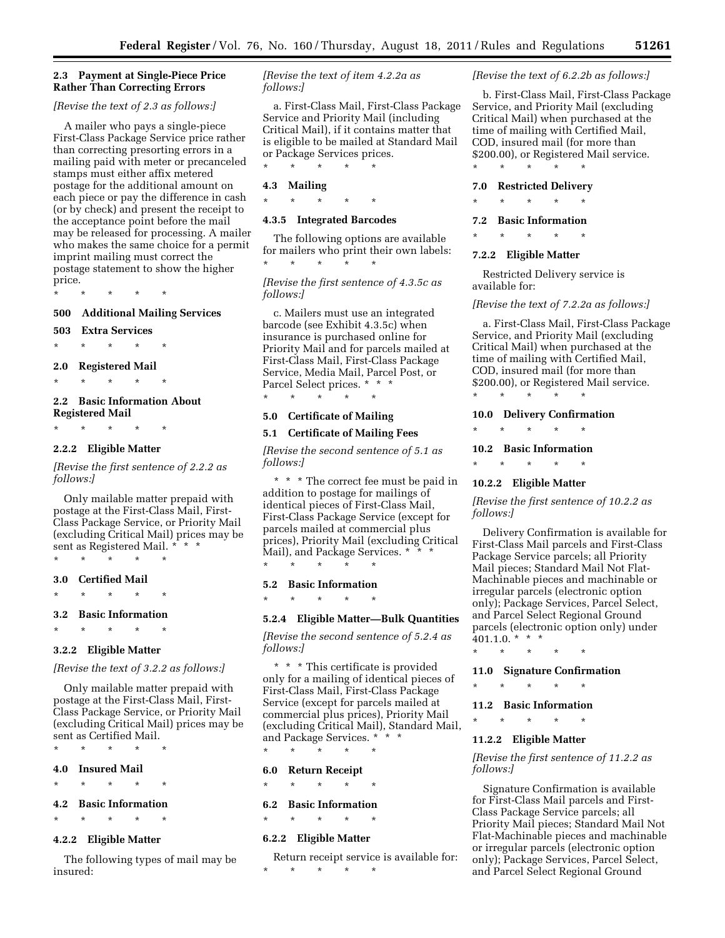## **2.3 Payment at Single-Piece Price Rather Than Correcting Errors**

## *[Revise the text of 2.3 as follows:]*

A mailer who pays a single-piece First-Class Package Service price rather than correcting presorting errors in a mailing paid with meter or precanceled stamps must either affix metered postage for the additional amount on each piece or pay the difference in cash (or by check) and present the receipt to the acceptance point before the mail may be released for processing. A mailer who makes the same choice for a permit imprint mailing must correct the postage statement to show the higher price.

\* \* \* \* \*

## **500 Additional Mailing Services**

**503 Extra Services** 

\* \* \* \* \*

## **2.0 Registered Mail**

\* \* \* \* \*

## **2.2 Basic Information About Registered Mail**

\* \* \* \* \*

## **2.2.2 Eligible Matter**

*[Revise the first sentence of 2.2.2 as follows:]* 

Only mailable matter prepaid with postage at the First-Class Mail, First-Class Package Service, or Priority Mail (excluding Critical Mail) prices may be sent as Registered Mail. \* \* \*

\* \* \* \* \*

**3.0 Certified Mail** 

## \* \* \* \* \* **3.2 Basic Information**

\* \* \* \* \*

#### **3.2.2 Eligible Matter**

*[Revise the text of 3.2.2 as follows:]* 

Only mailable matter prepaid with postage at the First-Class Mail, First-Class Package Service, or Priority Mail (excluding Critical Mail) prices may be sent as Certified Mail.

## \* \* \* \* \* **4.0 Insured Mail**

\* \* \* \* \*

#### **4.2 Basic Information**

\* \* \* \* \*

## **4.2.2 Eligible Matter**

The following types of mail may be insured:

*[Revise the text of item 4.2.2a as follows:]* 

a. First-Class Mail, First-Class Package Service and Priority Mail (including Critical Mail), if it contains matter that is eligible to be mailed at Standard Mail or Package Services prices. \* \* \* \* \*

## **4.3 Mailing**

\* \* \* \* \*

## **4.3.5 Integrated Barcodes**

The following options are available for mailers who print their own labels: \* \* \* \* \*

*[Revise the first sentence of 4.3.5c as follows:]* 

c. Mailers must use an integrated barcode (see Exhibit 4.3.5c) when insurance is purchased online for Priority Mail and for parcels mailed at First-Class Mail, First-Class Package Service, Media Mail, Parcel Post, or Parcel Select prices. \* \* \*

\* \* \* \* \*

#### **5.0 Certificate of Mailing**

#### **5.1 Certificate of Mailing Fees**

*[Revise the second sentence of 5.1 as follows:]* 

\* \* \* The correct fee must be paid in addition to postage for mailings of identical pieces of First-Class Mail, First-Class Package Service (except for parcels mailed at commercial plus prices), Priority Mail (excluding Critical Mail), and Package Services. \* \* \* \* \* \* \* \*

#### **5.2 Basic Information**

\* \* \* \* \*

## **5.2.4 Eligible Matter—Bulk Quantities**

*[Revise the second sentence of 5.2.4 as follows:]* 

\* \* \* This certificate is provided only for a mailing of identical pieces of First-Class Mail, First-Class Package Service (except for parcels mailed at commercial plus prices), Priority Mail (excluding Critical Mail), Standard Mail, and Package Services. \* \* \*

\* \* \* \* \*

## **6.0 Return Receipt**

\* \* \* \* \*

## **6.2 Basic Information**

\* \* \* \* \*

#### **6.2.2 Eligible Matter**

Return receipt service is available for: \* \* \* \* \*

## *[Revise the text of 6.2.2b as follows:]*

b. First-Class Mail, First-Class Package Service, and Priority Mail (excluding Critical Mail) when purchased at the time of mailing with Certified Mail, COD, insured mail (for more than \$200.00), or Registered Mail service. \* \* \* \* \*

#### **7.0 Restricted Delivery**

\* \* \* \* \*

## **7.2 Basic Information**

\* \* \* \* \*

## **7.2.2 Eligible Matter**

Restricted Delivery service is available for:

#### *[Revise the text of 7.2.2a as follows:]*

a. First-Class Mail, First-Class Package Service, and Priority Mail (excluding Critical Mail) when purchased at the time of mailing with Certified Mail, COD, insured mail (for more than \$200.00), or Registered Mail service.

\* \* \* \* \* **10.0 Delivery Confirmation** 

\* \* \* \* \*

#### **10.2 Basic Information**

\* \* \* \* \*

#### **10.2.2 Eligible Matter**

*[Revise the first sentence of 10.2.2 as follows:]* 

Delivery Confirmation is available for First-Class Mail parcels and First-Class Package Service parcels; all Priority Mail pieces; Standard Mail Not Flat-Machinable pieces and machinable or irregular parcels (electronic option only); Package Services, Parcel Select, and Parcel Select Regional Ground parcels (electronic option only) under  $401.1.0.*$  \* \*

\* \* \* \* \*

#### **11.0 Signature Confirmation**

\* \* \* \* \*

#### **11.2 Basic Information**

\* \* \* \* \*

## **11.2.2 Eligible Matter**

*[Revise the first sentence of 11.2.2 as follows:]* 

Signature Confirmation is available for First-Class Mail parcels and First-Class Package Service parcels; all Priority Mail pieces; Standard Mail Not Flat-Machinable pieces and machinable or irregular parcels (electronic option only); Package Services, Parcel Select, and Parcel Select Regional Ground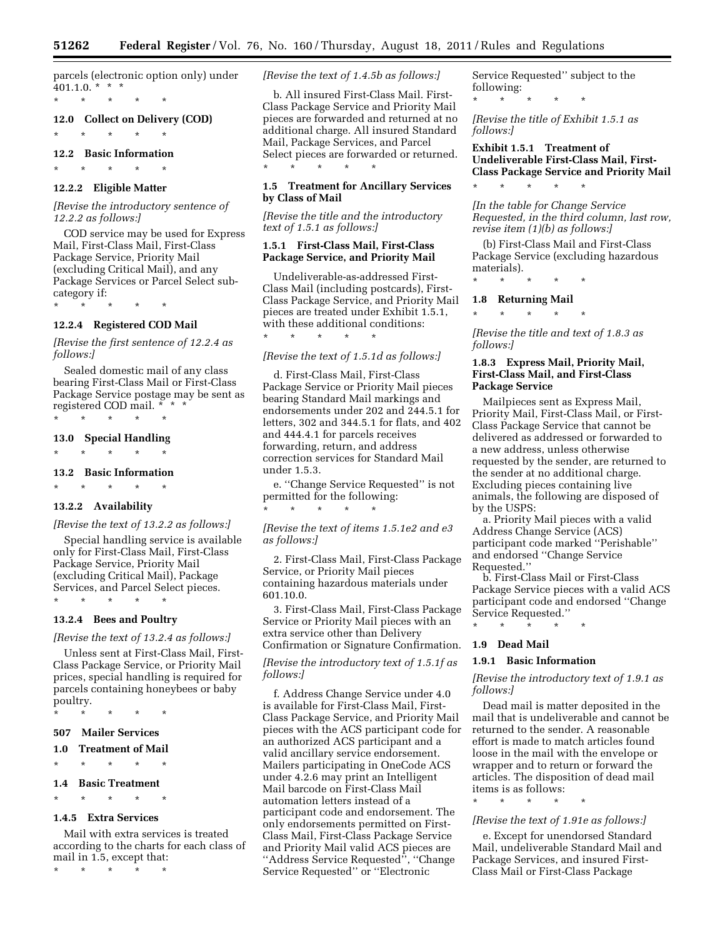parcels (electronic option only) under  $401.1.0.*$  \* \*

\* \* \* \* \*

## **12.0 Collect on Delivery (COD)**

\* \* \* \* \*

**12.2 Basic Information** 

\* \* \* \* \*

## **12.2.2 Eligible Matter**

*[Revise the introductory sentence of 12.2.2 as follows:]* 

COD service may be used for Express Mail, First-Class Mail, First-Class Package Service, Priority Mail (excluding Critical Mail), and any Package Services or Parcel Select subcategory if:

\* \* \* \* \*

# **12.2.4 Registered COD Mail**

*[Revise the first sentence of 12.2.4 as follows:]* 

Sealed domestic mail of any class bearing First-Class Mail or First-Class Package Service postage may be sent as registered COD mail. \* \* \*

\* \* \* \* \*

## **13.0 Special Handling**

\* \* \* \* \*

## **13.2 Basic Information**

\* \* \* \* \*

## **13.2.2 Availability**

## *[Revise the text of 13.2.2 as follows:]*

Special handling service is available only for First-Class Mail, First-Class Package Service, Priority Mail (excluding Critical Mail), Package Services, and Parcel Select pieces. \* \* \* \* \*

#### **13.2.4 Bees and Poultry**

#### *[Revise the text of 13.2.4 as follows:]*

Unless sent at First-Class Mail, First-Class Package Service, or Priority Mail prices, special handling is required for parcels containing honeybees or baby poultry.

\* \* \* \* \*

## **507 Mailer Services**

## **1.0 Treatment of Mail**

\* \* \* \* \*

#### **1.4 Basic Treatment**

\* \* \* \* \*

## **1.4.5 Extra Services**

Mail with extra services is treated according to the charts for each class of mail in 1.5, except that:

\* \* \* \* \*

*[Revise the text of 1.4.5b as follows:]* 

b. All insured First-Class Mail. First-Class Package Service and Priority Mail pieces are forwarded and returned at no additional charge. All insured Standard Mail, Package Services, and Parcel Select pieces are forwarded or returned. \* \* \* \* \*

## **1.5 Treatment for Ancillary Services by Class of Mail**

*[Revise the title and the introductory text of 1.5.1 as follows:]* 

## **1.5.1 First-Class Mail, First-Class Package Service, and Priority Mail**

Undeliverable-as-addressed First-Class Mail (including postcards), First-Class Package Service, and Priority Mail pieces are treated under Exhibit 1.5.1, with these additional conditions:

#### *[Revise the text of 1.5.1d as follows:]*

\* \* \* \* \*

d. First-Class Mail, First-Class Package Service or Priority Mail pieces bearing Standard Mail markings and endorsements under 202 and 244.5.1 for letters, 302 and 344.5.1 for flats, and 402 and 444.4.1 for parcels receives forwarding, return, and address correction services for Standard Mail under 1.5.3.

e. ''Change Service Requested'' is not permitted for the following: \* \* \* \* \*

*[Revise the text of items 1.5.1e2 and e3 as follows:]* 

2. First-Class Mail, First-Class Package Service, or Priority Mail pieces containing hazardous materials under 601.10.0.

3. First-Class Mail, First-Class Package Service or Priority Mail pieces with an extra service other than Delivery Confirmation or Signature Confirmation.

*[Revise the introductory text of 1.5.1f as follows:]* 

f. Address Change Service under 4.0 is available for First-Class Mail, First-Class Package Service, and Priority Mail pieces with the ACS participant code for an authorized ACS participant and a valid ancillary service endorsement. Mailers participating in OneCode ACS under 4.2.6 may print an Intelligent Mail barcode on First-Class Mail automation letters instead of a participant code and endorsement. The only endorsements permitted on First-Class Mail, First-Class Package Service and Priority Mail valid ACS pieces are ''Address Service Requested'', ''Change Service Requested'' or ''Electronic

Service Requested'' subject to the following: \* \* \* \* \*

*[Revise the title of Exhibit 1.5.1 as follows:]* 

## **Exhibit 1.5.1 Treatment of Undeliverable First-Class Mail, First-Class Package Service and Priority Mail**

\* \* \* \* \*

*[In the table for Change Service Requested, in the third column, last row, revise item (1)(b) as follows:]* 

(b) First-Class Mail and First-Class Package Service (excluding hazardous materials).

\* \* \* \* \*

## **1.8 Returning Mail**

\* \* \* \* \*

*[Revise the title and text of 1.8.3 as follows:]* 

## **1.8.3 Express Mail, Priority Mail, First-Class Mail, and First-Class Package Service**

Mailpieces sent as Express Mail, Priority Mail, First-Class Mail, or First-Class Package Service that cannot be delivered as addressed or forwarded to a new address, unless otherwise requested by the sender, are returned to the sender at no additional charge. Excluding pieces containing live animals, the following are disposed of by the USPS:

a. Priority Mail pieces with a valid Address Change Service (ACS) participant code marked ''Perishable'' and endorsed ''Change Service Requested.''

b. First-Class Mail or First-Class Package Service pieces with a valid ACS participant code and endorsed ''Change Service Requested.''

## **1.9 Dead Mail**

## **1.9.1 Basic Information**

\* \* \* \* \*

*[Revise the introductory text of 1.9.1 as follows:]* 

Dead mail is matter deposited in the mail that is undeliverable and cannot be returned to the sender. A reasonable effort is made to match articles found loose in the mail with the envelope or wrapper and to return or forward the articles. The disposition of dead mail items is as follows:

\* \* \* \* \*

## *[Revise the text of 1.91e as follows:]*

e. Except for unendorsed Standard Mail, undeliverable Standard Mail and Package Services, and insured First-Class Mail or First-Class Package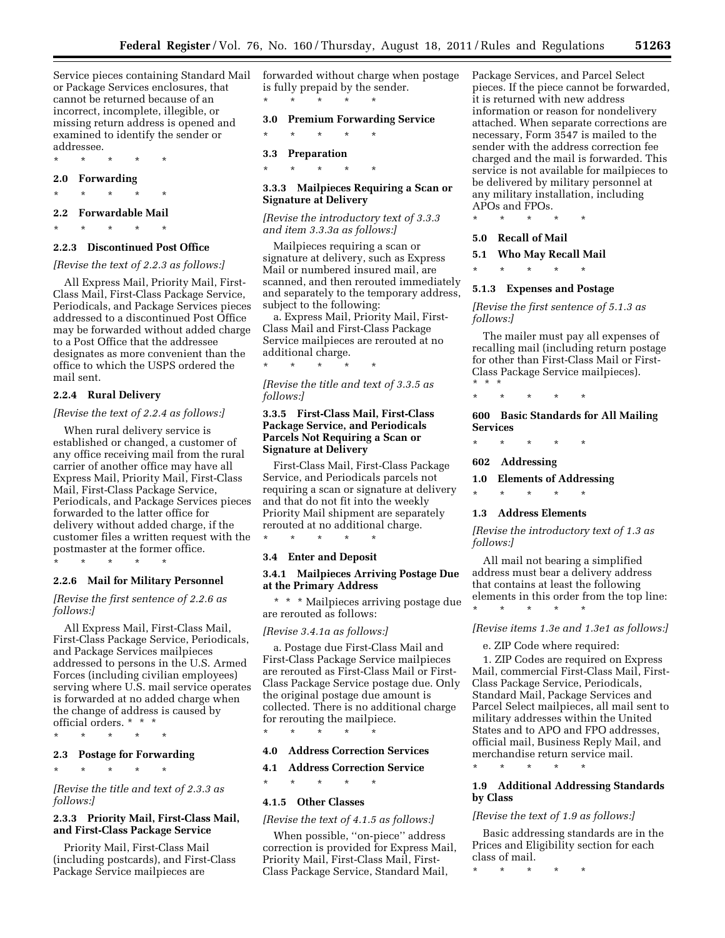Service pieces containing Standard Mail or Package Services enclosures, that cannot be returned because of an incorrect, incomplete, illegible, or missing return address is opened and examined to identify the sender or addressee.

**2.0 Forwarding** 

\* \* \* \* \*

**2.2 Forwardable Mail**  \* \* \* \* \*

\* \* \* \* \*

#### **2.2.3 Discontinued Post Office**

#### *[Revise the text of 2.2.3 as follows:]*

All Express Mail, Priority Mail, First-Class Mail, First-Class Package Service, Periodicals, and Package Services pieces addressed to a discontinued Post Office may be forwarded without added charge to a Post Office that the addressee designates as more convenient than the office to which the USPS ordered the mail sent.

## **2.2.4 Rural Delivery**

#### *[Revise the text of 2.2.4 as follows:]*

When rural delivery service is established or changed, a customer of any office receiving mail from the rural carrier of another office may have all Express Mail, Priority Mail, First-Class Mail, First-Class Package Service, Periodicals, and Package Services pieces forwarded to the latter office for delivery without added charge, if the customer files a written request with the postmaster at the former office.

## \* \* \* \* \*

## **2.2.6 Mail for Military Personnel**

## *[Revise the first sentence of 2.2.6 as follows:]*

All Express Mail, First-Class Mail, First-Class Package Service, Periodicals, and Package Services mailpieces addressed to persons in the U.S. Armed Forces (including civilian employees) serving where U.S. mail service operates is forwarded at no added charge when the change of address is caused by official orders. \* \* \*

\* \* \* \* \*

## **2.3 Postage for Forwarding**

\* \* \* \* \*

*[Revise the title and text of 2.3.3 as follows:]* 

## **2.3.3 Priority Mail, First-Class Mail, and First-Class Package Service**

Priority Mail, First-Class Mail (including postcards), and First-Class Package Service mailpieces are

forwarded without charge when postage is fully prepaid by the sender. \* \* \* \* \*

**3.0 Premium Forwarding Service** 

\* \* \* \* \*

**3.3 Preparation** 

\* \* \* \* \*

## **3.3.3 Mailpieces Requiring a Scan or Signature at Delivery**

*[Revise the introductory text of 3.3.3 and item 3.3.3a as follows:]* 

Mailpieces requiring a scan or signature at delivery, such as Express Mail or numbered insured mail, are scanned, and then rerouted immediately and separately to the temporary address, subject to the following:

a. Express Mail, Priority Mail, First-Class Mail and First-Class Package Service mailpieces are rerouted at no additional charge.

*[Revise the title and text of 3.3.5 as follows:]* 

\* \* \* \* \*

## **3.3.5 First-Class Mail, First-Class Package Service, and Periodicals Parcels Not Requiring a Scan or Signature at Delivery**

First-Class Mail, First-Class Package Service, and Periodicals parcels not requiring a scan or signature at delivery and that do not fit into the weekly Priority Mail shipment are separately rerouted at no additional charge. \* \* \* \* \*

#### **3.4 Enter and Deposit**

### **3.4.1 Mailpieces Arriving Postage Due at the Primary Address**

\* \* \* Mailpieces arriving postage due are rerouted as follows:

#### *[Revise 3.4.1a as follows:]*

a. Postage due First-Class Mail and First-Class Package Service mailpieces are rerouted as First-Class Mail or First-Class Package Service postage due. Only the original postage due amount is collected. There is no additional charge for rerouting the mailpiece.

#### **4.0 Address Correction Services**

## **4.1 Address Correction Service**

\* \* \* \* \*

## \* \* \* \* \* **4.1.5 Other Classes**

*[Revise the text of 4.1.5 as follows:]* 

When possible, ''on-piece'' address correction is provided for Express Mail, Priority Mail, First-Class Mail, First-Class Package Service, Standard Mail,

Package Services, and Parcel Select pieces. If the piece cannot be forwarded, it is returned with new address information or reason for nondelivery attached. When separate corrections are necessary, Form 3547 is mailed to the sender with the address correction fee charged and the mail is forwarded. This service is not available for mailpieces to be delivered by military personnel at any military installation, including APOs and FPOs.

\* \* \* \* \*

#### **5.0 Recall of Mail**

#### **5.1 Who May Recall Mail**

\* \* \* \* \*

#### **5.1.3 Expenses and Postage**

*[Revise the first sentence of 5.1.3 as follows:]* 

The mailer must pay all expenses of recalling mail (including return postage for other than First-Class Mail or First-Class Package Service mailpieces).

\* \* \* \* \* \* \* \*

**600 Basic Standards for All Mailing Services** 

\* \* \* \* \*

## **602 Addressing**

### **1.0 Elements of Addressing**

\* \* \* \* \*

## **1.3 Address Elements**

\* \* \* \* \*

*[Revise the introductory text of 1.3 as follows:]* 

All mail not bearing a simplified address must bear a delivery address that contains at least the following elements in this order from the top line:

#### *[Revise items 1.3e and 1.3e1 as follows:]*

e. ZIP Code where required:

1. ZIP Codes are required on Express Mail, commercial First-Class Mail, First-Class Package Service, Periodicals, Standard Mail, Package Services and Parcel Select mailpieces, all mail sent to military addresses within the United States and to APO and FPO addresses, official mail, Business Reply Mail, and merchandise return service mail.

\* \* \* \* \*

#### **1.9 Additional Addressing Standards by Class**

### *[Revise the text of 1.9 as follows:]*

Basic addressing standards are in the Prices and Eligibility section for each class of mail.

\* \* \* \* \*